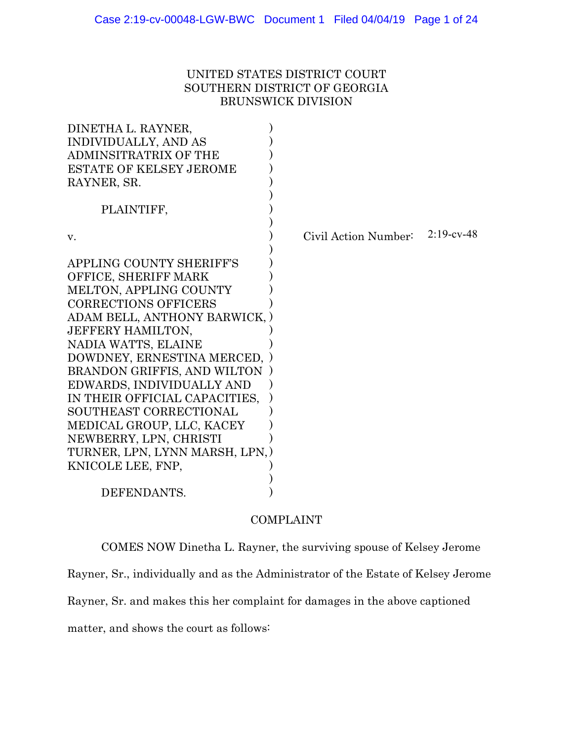# UNITED STATES DISTRICT COURT SOUTHERN DISTRICT OF GEORGIA BRUNSWICK DIVISION

| Civil Action Number:            | $2:19$ -cv-48 |
|---------------------------------|---------------|
|                                 |               |
|                                 |               |
|                                 |               |
|                                 |               |
|                                 |               |
| ADAM BELL, ANTHONY BARWICK, )   |               |
|                                 |               |
|                                 |               |
| DOWDNEY, ERNESTINA MERCED, )    |               |
|                                 |               |
|                                 |               |
|                                 |               |
|                                 |               |
|                                 |               |
|                                 |               |
| TURNER, LPN, LYNN MARSH, LPN, ) |               |
|                                 |               |
|                                 |               |
|                                 |               |
|                                 |               |

# COMPLAINT

COMES NOW Dinetha L. Rayner, the surviving spouse of Kelsey Jerome

Rayner, Sr., individually and as the Administrator of the Estate of Kelsey Jerome

Rayner, Sr. and makes this her complaint for damages in the above captioned

matter, and shows the court as follows: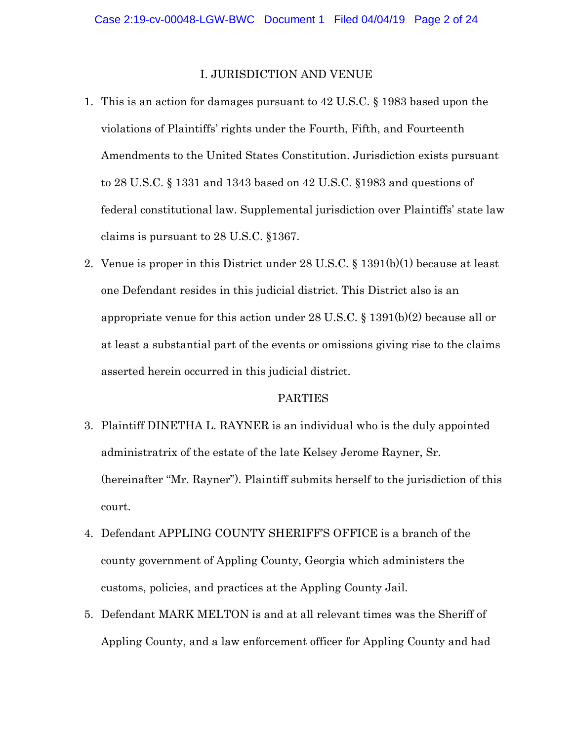#### I. JURISDICTION AND VENUE

- 1. This is an action for damages pursuant to 42 U.S.C. § 1983 based upon the violations of Plaintiffs' rights under the Fourth, Fifth, and Fourteenth Amendments to the United States Constitution. Jurisdiction exists pursuant to 28 U.S.C. § 1331 and 1343 based on 42 U.S.C. §1983 and questions of federal constitutional law. Supplemental jurisdiction over Plaintiffs' state law claims is pursuant to 28 U.S.C. §1367.
- 2. Venue is proper in this District under 28 U.S.C. § 1391(b)(1) because at least one Defendant resides in this judicial district. This District also is an appropriate venue for this action under 28 U.S.C. § 1391(b)(2) because all or at least a substantial part of the events or omissions giving rise to the claims asserted herein occurred in this judicial district.

#### PARTIES

- 3. Plaintiff DINETHA L. RAYNER is an individual who is the duly appointed administratrix of the estate of the late Kelsey Jerome Rayner, Sr. (hereinafter "Mr. Rayner"). Plaintiff submits herself to the jurisdiction of this court.
- 4. Defendant APPLING COUNTY SHERIFF'S OFFICE is a branch of the county government of Appling County, Georgia which administers the customs, policies, and practices at the Appling County Jail.
- 5. Defendant MARK MELTON is and at all relevant times was the Sheriff of Appling County, and a law enforcement officer for Appling County and had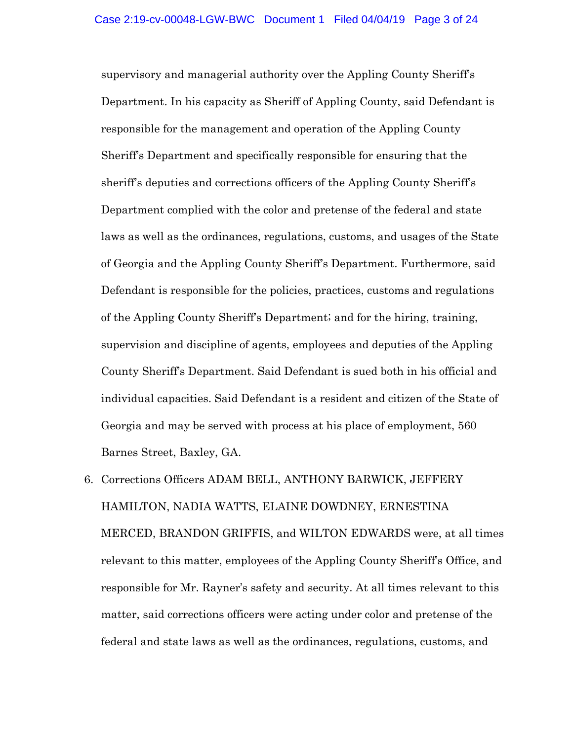supervisory and managerial authority over the Appling County Sheriff's Department. In his capacity as Sheriff of Appling County, said Defendant is responsible for the management and operation of the Appling County Sheriff's Department and specifically responsible for ensuring that the sheriff's deputies and corrections officers of the Appling County Sheriff's Department complied with the color and pretense of the federal and state laws as well as the ordinances, regulations, customs, and usages of the State of Georgia and the Appling County Sheriff's Department. Furthermore, said Defendant is responsible for the policies, practices, customs and regulations of the Appling County Sheriff's Department; and for the hiring, training, supervision and discipline of agents, employees and deputies of the Appling County Sheriff's Department. Said Defendant is sued both in his official and individual capacities. Said Defendant is a resident and citizen of the State of Georgia and may be served with process at his place of employment, 560 Barnes Street, Baxley, GA.

6. Corrections Officers ADAM BELL, ANTHONY BARWICK, JEFFERY HAMILTON, NADIA WATTS, ELAINE DOWDNEY, ERNESTINA MERCED, BRANDON GRIFFIS, and WILTON EDWARDS were, at all times relevant to this matter, employees of the Appling County Sheriff's Office, and responsible for Mr. Rayner's safety and security. At all times relevant to this matter, said corrections officers were acting under color and pretense of the federal and state laws as well as the ordinances, regulations, customs, and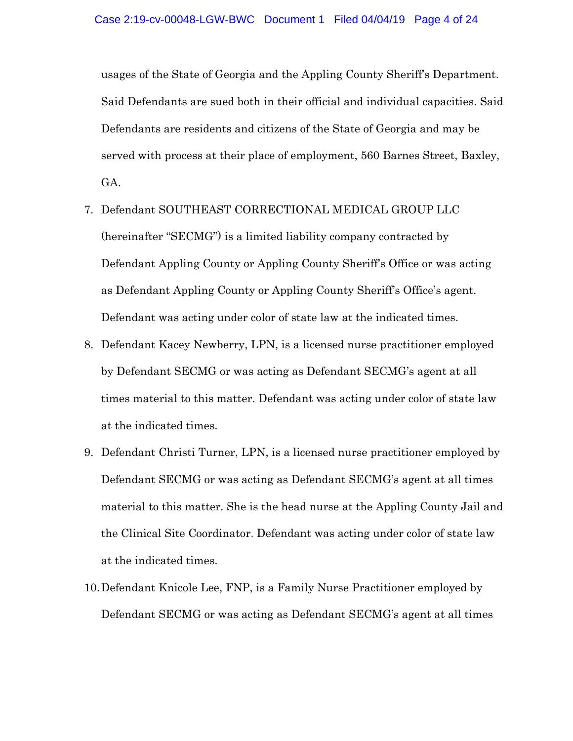usages of the State of Georgia and the Appling County Sheriff's Department. Said Defendants are sued both in their official and individual capacities. Said Defendants are residents and citizens of the State of Georgia and may be served with process at their place of employment, 560 Barnes Street, Baxley, GA.

- 7. Defendant SOUTHEAST CORRECTIONAL MEDICAL GROUP LLC (hereinafter "SECMG") is a limited liability company contracted by Defendant Appling County or Appling County Sheriff's Office or was acting as Defendant Appling County or Appling County Sheriff's Office's agent. Defendant was acting under color of state law at the indicated times.
- 8. Defendant Kacey Newberry, LPN, is a licensed nurse practitioner employed by Defendant SECMG or was acting as Defendant SECMG's agent at all times material to this matter. Defendant was acting under color of state law at the indicated times.
- 9. Defendant Christi Turner, LPN, is a licensed nurse practitioner employed by Defendant SECMG or was acting as Defendant SECMG's agent at all times material to this matter. She is the head nurse at the Appling County Jail and the Clinical Site Coordinator. Defendant was acting under color of state law at the indicated times.
- 10.Defendant Knicole Lee, FNP, is a Family Nurse Practitioner employed by Defendant SECMG or was acting as Defendant SECMG's agent at all times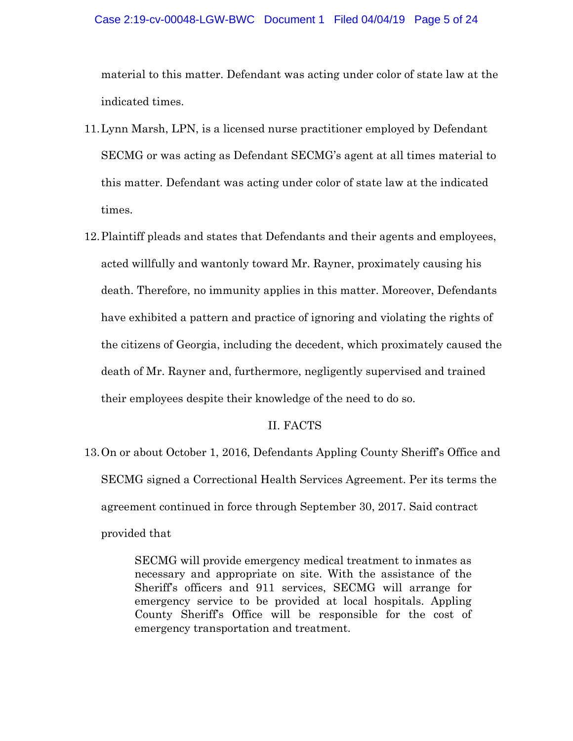#### Case 2:19-cv-00048-LGW-BWC Document 1 Filed 04/04/19 Page 5 of 24

material to this matter. Defendant was acting under color of state law at the indicated times.

- 11.Lynn Marsh, LPN, is a licensed nurse practitioner employed by Defendant SECMG or was acting as Defendant SECMG's agent at all times material to this matter. Defendant was acting under color of state law at the indicated times.
- 12.Plaintiff pleads and states that Defendants and their agents and employees, acted willfully and wantonly toward Mr. Rayner, proximately causing his death. Therefore, no immunity applies in this matter. Moreover, Defendants have exhibited a pattern and practice of ignoring and violating the rights of the citizens of Georgia, including the decedent, which proximately caused the death of Mr. Rayner and, furthermore, negligently supervised and trained their employees despite their knowledge of the need to do so.

### II. FACTS

13.On or about October 1, 2016, Defendants Appling County Sheriff's Office and SECMG signed a Correctional Health Services Agreement. Per its terms the agreement continued in force through September 30, 2017. Said contract provided that

> SECMG will provide emergency medical treatment to inmates as necessary and appropriate on site. With the assistance of the Sheriff's officers and 911 services, SECMG will arrange for emergency service to be provided at local hospitals. Appling County Sheriff's Office will be responsible for the cost of emergency transportation and treatment.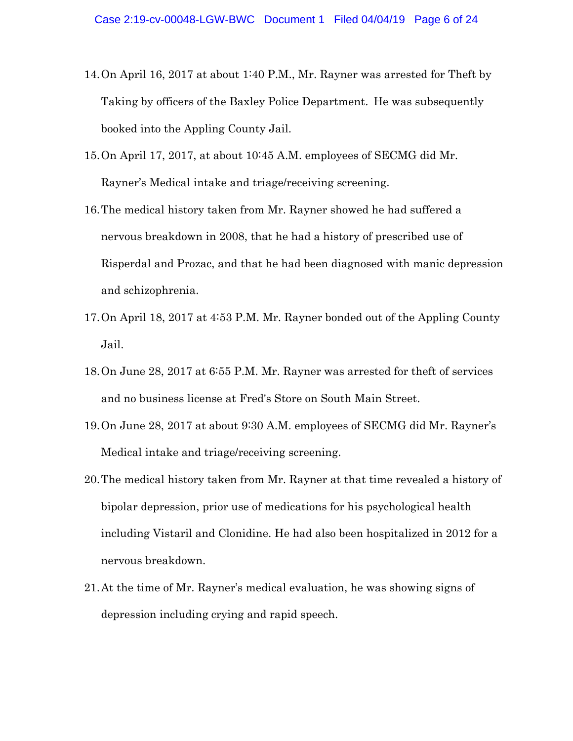- 14.On April 16, 2017 at about 1:40 P.M., Mr. Rayner was arrested for Theft by Taking by officers of the Baxley Police Department. He was subsequently booked into the Appling County Jail.
- 15.On April 17, 2017, at about 10:45 A.M. employees of SECMG did Mr. Rayner's Medical intake and triage/receiving screening.
- 16.The medical history taken from Mr. Rayner showed he had suffered a nervous breakdown in 2008, that he had a history of prescribed use of Risperdal and Prozac, and that he had been diagnosed with manic depression and schizophrenia.
- 17.On April 18, 2017 at 4:53 P.M. Mr. Rayner bonded out of the Appling County Jail.
- 18.On June 28, 2017 at 6:55 P.M. Mr. Rayner was arrested for theft of services and no business license at Fred's Store on South Main Street.
- 19.On June 28, 2017 at about 9:30 A.M. employees of SECMG did Mr. Rayner's Medical intake and triage/receiving screening.
- 20.The medical history taken from Mr. Rayner at that time revealed a history of bipolar depression, prior use of medications for his psychological health including Vistaril and Clonidine. He had also been hospitalized in 2012 for a nervous breakdown.
- 21.At the time of Mr. Rayner's medical evaluation, he was showing signs of depression including crying and rapid speech.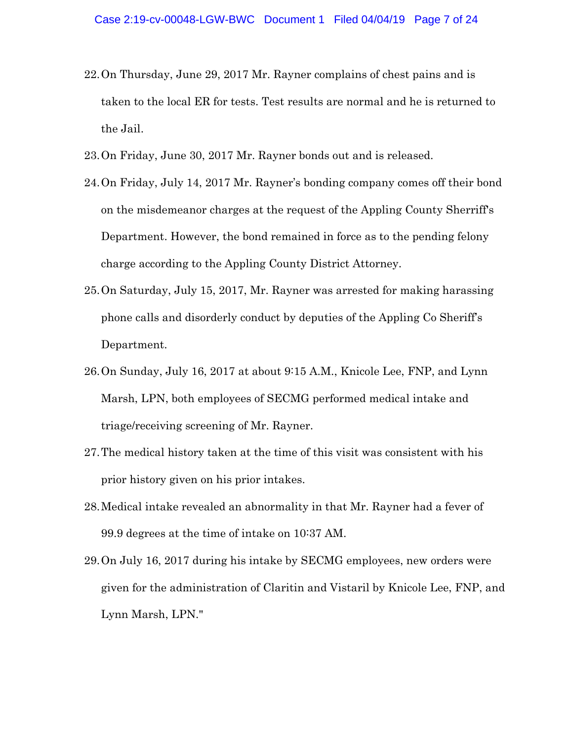- 22.On Thursday, June 29, 2017 Mr. Rayner complains of chest pains and is taken to the local ER for tests. Test results are normal and he is returned to the Jail.
- 23.On Friday, June 30, 2017 Mr. Rayner bonds out and is released.
- 24.On Friday, July 14, 2017 Mr. Rayner's bonding company comes off their bond on the misdemeanor charges at the request of the Appling County Sherriff's Department. However, the bond remained in force as to the pending felony charge according to the Appling County District Attorney.
- 25.On Saturday, July 15, 2017, Mr. Rayner was arrested for making harassing phone calls and disorderly conduct by deputies of the Appling Co Sheriff's Department.
- 26.On Sunday, July 16, 2017 at about 9:15 A.M., Knicole Lee, FNP, and Lynn Marsh, LPN, both employees of SECMG performed medical intake and triage/receiving screening of Mr. Rayner.
- 27.The medical history taken at the time of this visit was consistent with his prior history given on his prior intakes.
- 28.Medical intake revealed an abnormality in that Mr. Rayner had a fever of 99.9 degrees at the time of intake on 10:37 AM.
- 29.On July 16, 2017 during his intake by SECMG employees, new orders were given for the administration of Claritin and Vistaril by Knicole Lee, FNP, and Lynn Marsh, LPN."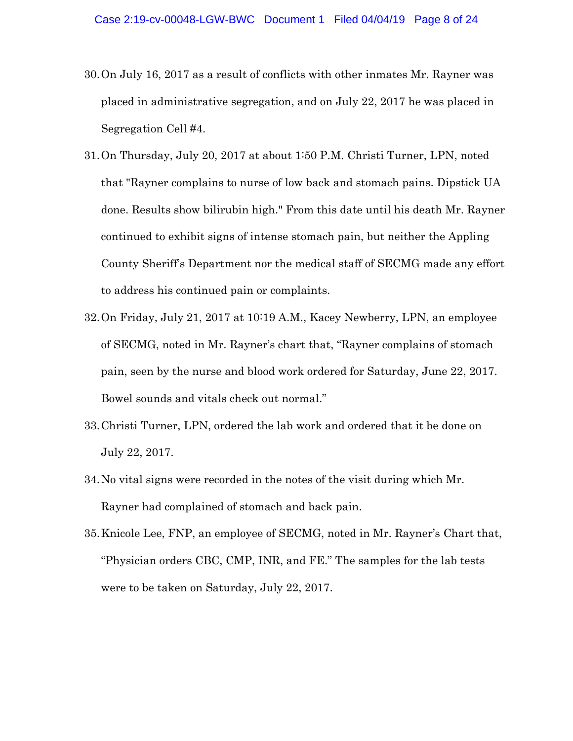- 30.On July 16, 2017 as a result of conflicts with other inmates Mr. Rayner was placed in administrative segregation, and on July 22, 2017 he was placed in Segregation Cell #4.
- 31.On Thursday, July 20, 2017 at about 1:50 P.M. Christi Turner, LPN, noted that "Rayner complains to nurse of low back and stomach pains. Dipstick UA done. Results show bilirubin high." From this date until his death Mr. Rayner continued to exhibit signs of intense stomach pain, but neither the Appling County Sheriff's Department nor the medical staff of SECMG made any effort to address his continued pain or complaints.
- 32.On Friday, July 21, 2017 at 10:19 A.M., Kacey Newberry, LPN, an employee of SECMG, noted in Mr. Rayner's chart that, "Rayner complains of stomach pain, seen by the nurse and blood work ordered for Saturday, June 22, 2017. Bowel sounds and vitals check out normal."
- 33.Christi Turner, LPN, ordered the lab work and ordered that it be done on July 22, 2017.
- 34.No vital signs were recorded in the notes of the visit during which Mr. Rayner had complained of stomach and back pain.
- 35.Knicole Lee, FNP, an employee of SECMG, noted in Mr. Rayner's Chart that, "Physician orders CBC, CMP, INR, and FE." The samples for the lab tests were to be taken on Saturday, July 22, 2017.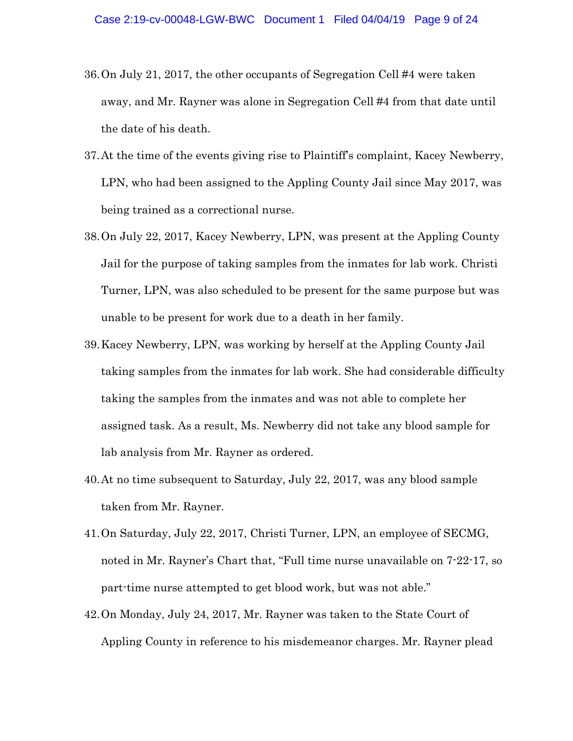- 36.On July 21, 2017, the other occupants of Segregation Cell #4 were taken away, and Mr. Rayner was alone in Segregation Cell #4 from that date until the date of his death.
- 37.At the time of the events giving rise to Plaintiff's complaint, Kacey Newberry, LPN, who had been assigned to the Appling County Jail since May 2017, was being trained as a correctional nurse.
- 38.On July 22, 2017, Kacey Newberry, LPN, was present at the Appling County Jail for the purpose of taking samples from the inmates for lab work. Christi Turner, LPN, was also scheduled to be present for the same purpose but was unable to be present for work due to a death in her family.
- 39.Kacey Newberry, LPN, was working by herself at the Appling County Jail taking samples from the inmates for lab work. She had considerable difficulty taking the samples from the inmates and was not able to complete her assigned task. As a result, Ms. Newberry did not take any blood sample for lab analysis from Mr. Rayner as ordered.
- 40.At no time subsequent to Saturday, July 22, 2017, was any blood sample taken from Mr. Rayner.
- 41.On Saturday, July 22, 2017, Christi Turner, LPN, an employee of SECMG, noted in Mr. Rayner's Chart that, "Full time nurse unavailable on 7-22-17, so part-time nurse attempted to get blood work, but was not able."
- 42.On Monday, July 24, 2017, Mr. Rayner was taken to the State Court of Appling County in reference to his misdemeanor charges. Mr. Rayner plead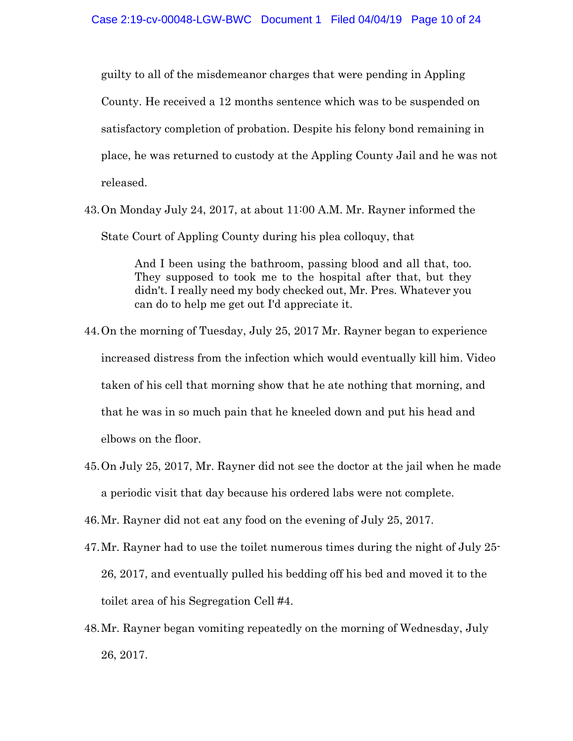guilty to all of the misdemeanor charges that were pending in Appling County. He received a 12 months sentence which was to be suspended on satisfactory completion of probation. Despite his felony bond remaining in place, he was returned to custody at the Appling County Jail and he was not released.

43.On Monday July 24, 2017, at about 11:00 A.M. Mr. Rayner informed the State Court of Appling County during his plea colloquy, that

> And I been using the bathroom, passing blood and all that, too. They supposed to took me to the hospital after that, but they didn't. I really need my body checked out, Mr. Pres. Whatever you can do to help me get out I'd appreciate it.

- 44.On the morning of Tuesday, July 25, 2017 Mr. Rayner began to experience increased distress from the infection which would eventually kill him. Video taken of his cell that morning show that he ate nothing that morning, and that he was in so much pain that he kneeled down and put his head and elbows on the floor.
- 45.On July 25, 2017, Mr. Rayner did not see the doctor at the jail when he made a periodic visit that day because his ordered labs were not complete.
- 46.Mr. Rayner did not eat any food on the evening of July 25, 2017.
- 47.Mr. Rayner had to use the toilet numerous times during the night of July 25- 26, 2017, and eventually pulled his bedding off his bed and moved it to the toilet area of his Segregation Cell #4.
- 48.Mr. Rayner began vomiting repeatedly on the morning of Wednesday, July 26, 2017.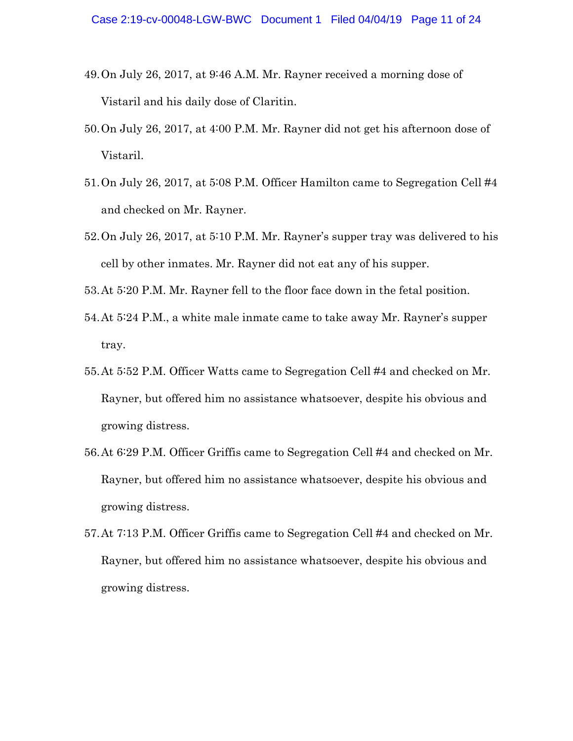- 49.On July 26, 2017, at 9:46 A.M. Mr. Rayner received a morning dose of Vistaril and his daily dose of Claritin.
- 50.On July 26, 2017, at 4:00 P.M. Mr. Rayner did not get his afternoon dose of Vistaril.
- 51.On July 26, 2017, at 5:08 P.M. Officer Hamilton came to Segregation Cell #4 and checked on Mr. Rayner.
- 52.On July 26, 2017, at 5:10 P.M. Mr. Rayner's supper tray was delivered to his cell by other inmates. Mr. Rayner did not eat any of his supper.
- 53.At 5:20 P.M. Mr. Rayner fell to the floor face down in the fetal position.
- 54.At 5:24 P.M., a white male inmate came to take away Mr. Rayner's supper tray.
- 55.At 5:52 P.M. Officer Watts came to Segregation Cell #4 and checked on Mr. Rayner, but offered him no assistance whatsoever, despite his obvious and growing distress.
- 56.At 6:29 P.M. Officer Griffis came to Segregation Cell #4 and checked on Mr. Rayner, but offered him no assistance whatsoever, despite his obvious and growing distress.
- 57.At 7:13 P.M. Officer Griffis came to Segregation Cell #4 and checked on Mr. Rayner, but offered him no assistance whatsoever, despite his obvious and growing distress.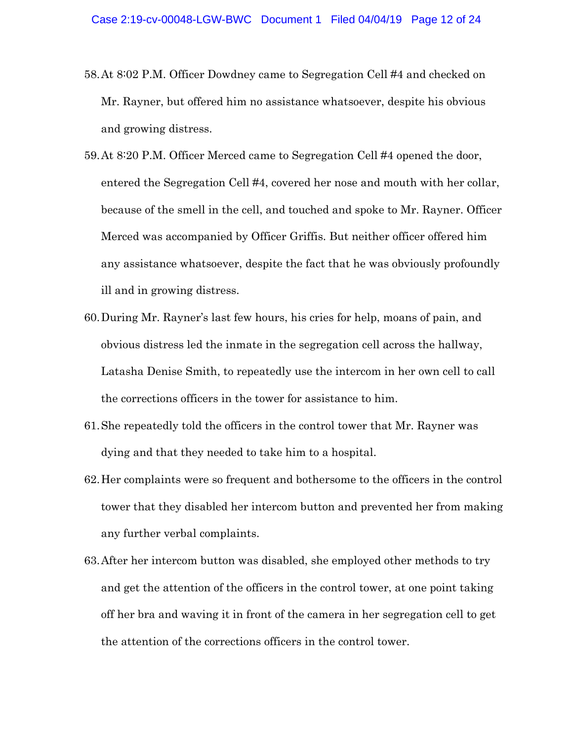- 58.At 8:02 P.M. Officer Dowdney came to Segregation Cell #4 and checked on Mr. Rayner, but offered him no assistance whatsoever, despite his obvious and growing distress.
- 59.At 8:20 P.M. Officer Merced came to Segregation Cell #4 opened the door, entered the Segregation Cell #4, covered her nose and mouth with her collar, because of the smell in the cell, and touched and spoke to Mr. Rayner. Officer Merced was accompanied by Officer Griffis. But neither officer offered him any assistance whatsoever, despite the fact that he was obviously profoundly ill and in growing distress.
- 60.During Mr. Rayner's last few hours, his cries for help, moans of pain, and obvious distress led the inmate in the segregation cell across the hallway, Latasha Denise Smith, to repeatedly use the intercom in her own cell to call the corrections officers in the tower for assistance to him.
- 61.She repeatedly told the officers in the control tower that Mr. Rayner was dying and that they needed to take him to a hospital.
- 62.Her complaints were so frequent and bothersome to the officers in the control tower that they disabled her intercom button and prevented her from making any further verbal complaints.
- 63.After her intercom button was disabled, she employed other methods to try and get the attention of the officers in the control tower, at one point taking off her bra and waving it in front of the camera in her segregation cell to get the attention of the corrections officers in the control tower.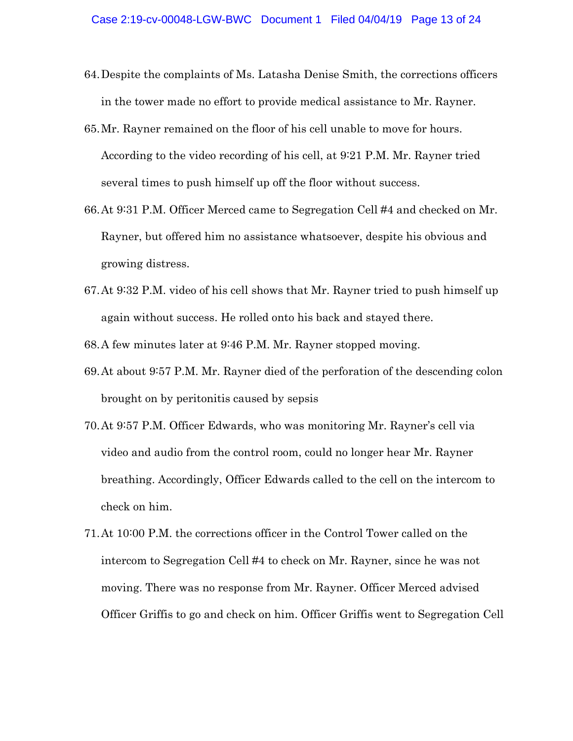- 64.Despite the complaints of Ms. Latasha Denise Smith, the corrections officers in the tower made no effort to provide medical assistance to Mr. Rayner.
- 65.Mr. Rayner remained on the floor of his cell unable to move for hours. According to the video recording of his cell, at 9:21 P.M. Mr. Rayner tried several times to push himself up off the floor without success.
- 66.At 9:31 P.M. Officer Merced came to Segregation Cell #4 and checked on Mr. Rayner, but offered him no assistance whatsoever, despite his obvious and growing distress.
- 67.At 9:32 P.M. video of his cell shows that Mr. Rayner tried to push himself up again without success. He rolled onto his back and stayed there.
- 68.A few minutes later at 9:46 P.M. Mr. Rayner stopped moving.
- 69.At about 9:57 P.M. Mr. Rayner died of the perforation of the descending colon brought on by peritonitis caused by sepsis
- 70.At 9:57 P.M. Officer Edwards, who was monitoring Mr. Rayner's cell via video and audio from the control room, could no longer hear Mr. Rayner breathing. Accordingly, Officer Edwards called to the cell on the intercom to check on him.
- 71.At 10:00 P.M. the corrections officer in the Control Tower called on the intercom to Segregation Cell #4 to check on Mr. Rayner, since he was not moving. There was no response from Mr. Rayner. Officer Merced advised Officer Griffis to go and check on him. Officer Griffis went to Segregation Cell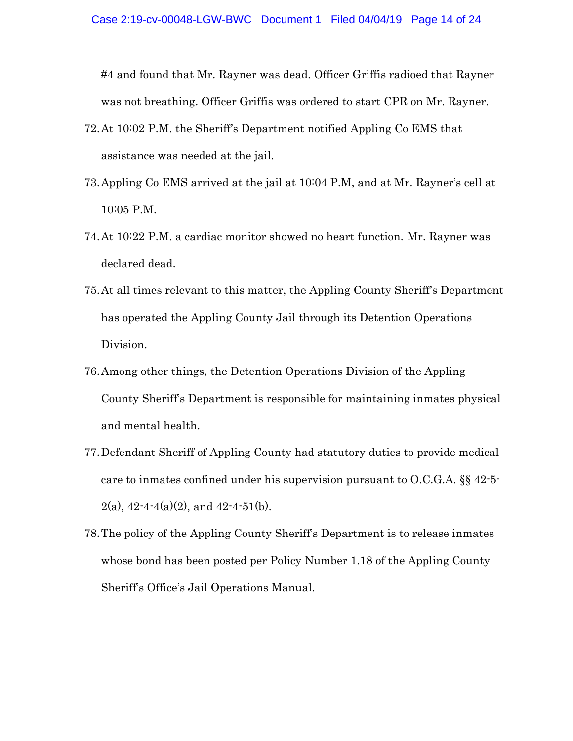#4 and found that Mr. Rayner was dead. Officer Griffis radioed that Rayner was not breathing. Officer Griffis was ordered to start CPR on Mr. Rayner.

- 72.At 10:02 P.M. the Sheriff's Department notified Appling Co EMS that assistance was needed at the jail.
- 73.Appling Co EMS arrived at the jail at 10:04 P.M, and at Mr. Rayner's cell at 10:05 P.M.
- 74.At 10:22 P.M. a cardiac monitor showed no heart function. Mr. Rayner was declared dead.
- 75.At all times relevant to this matter, the Appling County Sheriff's Department has operated the Appling County Jail through its Detention Operations Division.
- 76.Among other things, the Detention Operations Division of the Appling County Sheriff's Department is responsible for maintaining inmates physical and mental health.
- 77.Defendant Sheriff of Appling County had statutory duties to provide medical care to inmates confined under his supervision pursuant to O.C.G.A. §§ 42-5-  $2(a)$ ,  $42-4-4(a)(2)$ , and  $42-4-51(b)$ .
- 78.The policy of the Appling County Sheriff's Department is to release inmates whose bond has been posted per Policy Number 1.18 of the Appling County Sheriff's Office's Jail Operations Manual.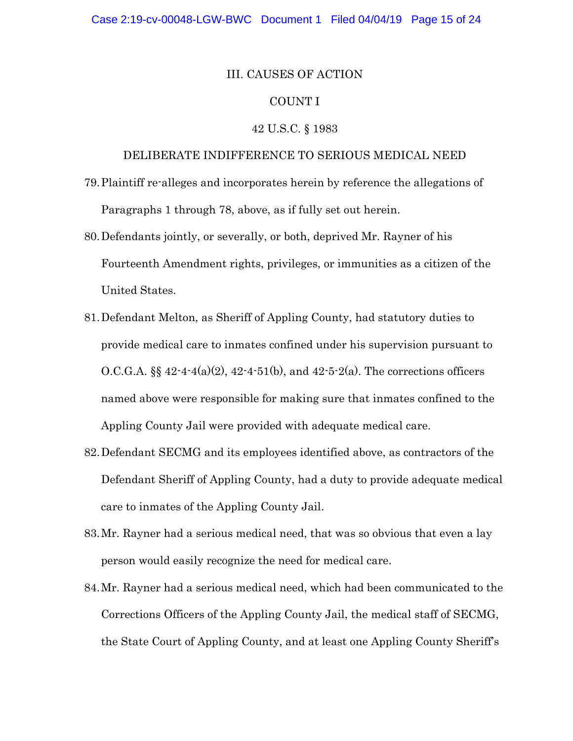### III. CAUSES OF ACTION

### COUNT I

## 42 U.S.C. § 1983

## DELIBERATE INDIFFERENCE TO SERIOUS MEDICAL NEED

- 79.Plaintiff re-alleges and incorporates herein by reference the allegations of Paragraphs 1 through 78, above, as if fully set out herein.
- 80.Defendants jointly, or severally, or both, deprived Mr. Rayner of his Fourteenth Amendment rights, privileges, or immunities as a citizen of the United States.
- 81.Defendant Melton, as Sheriff of Appling County, had statutory duties to provide medical care to inmates confined under his supervision pursuant to O.C.G.A.  $\S_{42444(a)(2), 42451(b), and 4252(a)}$ . The corrections officers named above were responsible for making sure that inmates confined to the Appling County Jail were provided with adequate medical care.
- 82.Defendant SECMG and its employees identified above, as contractors of the Defendant Sheriff of Appling County, had a duty to provide adequate medical care to inmates of the Appling County Jail.
- 83.Mr. Rayner had a serious medical need, that was so obvious that even a lay person would easily recognize the need for medical care.
- 84.Mr. Rayner had a serious medical need, which had been communicated to the Corrections Officers of the Appling County Jail, the medical staff of SECMG, the State Court of Appling County, and at least one Appling County Sheriff's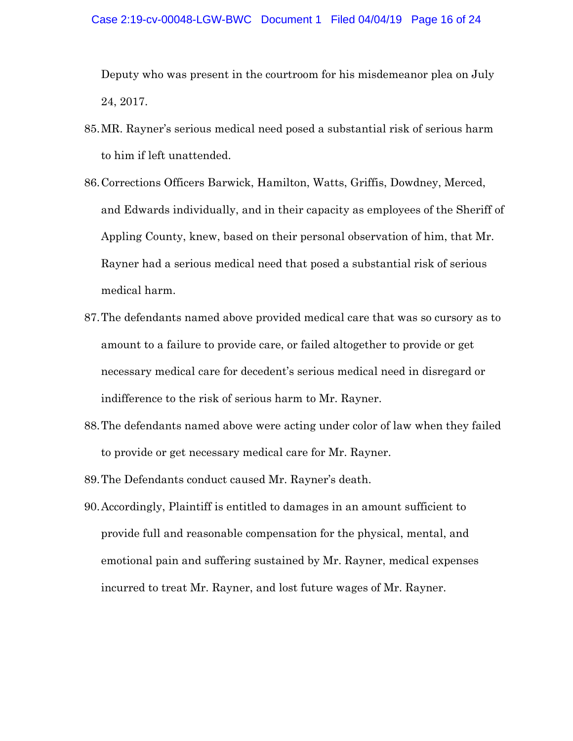#### Case 2:19-cv-00048-LGW-BWC Document 1 Filed 04/04/19 Page 16 of 24

Deputy who was present in the courtroom for his misdemeanor plea on July 24, 2017.

- 85.MR. Rayner's serious medical need posed a substantial risk of serious harm to him if left unattended.
- 86.Corrections Officers Barwick, Hamilton, Watts, Griffis, Dowdney, Merced, and Edwards individually, and in their capacity as employees of the Sheriff of Appling County, knew, based on their personal observation of him, that Mr. Rayner had a serious medical need that posed a substantial risk of serious medical harm.
- 87.The defendants named above provided medical care that was so cursory as to amount to a failure to provide care, or failed altogether to provide or get necessary medical care for decedent's serious medical need in disregard or indifference to the risk of serious harm to Mr. Rayner.
- 88.The defendants named above were acting under color of law when they failed to provide or get necessary medical care for Mr. Rayner.
- 89.The Defendants conduct caused Mr. Rayner's death.
- 90.Accordingly, Plaintiff is entitled to damages in an amount sufficient to provide full and reasonable compensation for the physical, mental, and emotional pain and suffering sustained by Mr. Rayner, medical expenses incurred to treat Mr. Rayner, and lost future wages of Mr. Rayner.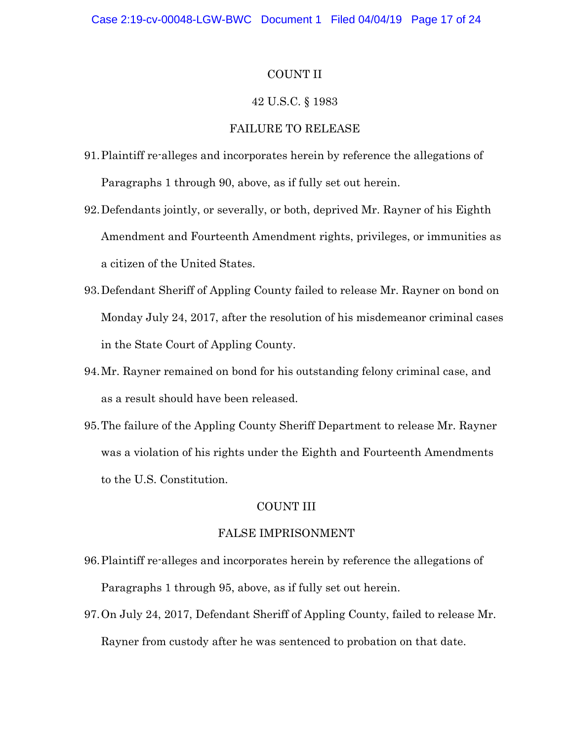## COUNT II

### 42 U.S.C. § 1983

## FAILURE TO RELEASE

- 91.Plaintiff re-alleges and incorporates herein by reference the allegations of Paragraphs 1 through 90, above, as if fully set out herein.
- 92.Defendants jointly, or severally, or both, deprived Mr. Rayner of his Eighth Amendment and Fourteenth Amendment rights, privileges, or immunities as a citizen of the United States.
- 93.Defendant Sheriff of Appling County failed to release Mr. Rayner on bond on Monday July 24, 2017, after the resolution of his misdemeanor criminal cases in the State Court of Appling County.
- 94.Mr. Rayner remained on bond for his outstanding felony criminal case, and as a result should have been released.
- 95.The failure of the Appling County Sheriff Department to release Mr. Rayner was a violation of his rights under the Eighth and Fourteenth Amendments to the U.S. Constitution.

## COUNT III

#### FALSE IMPRISONMENT

- 96.Plaintiff re-alleges and incorporates herein by reference the allegations of Paragraphs 1 through 95, above, as if fully set out herein.
- 97.On July 24, 2017, Defendant Sheriff of Appling County, failed to release Mr. Rayner from custody after he was sentenced to probation on that date.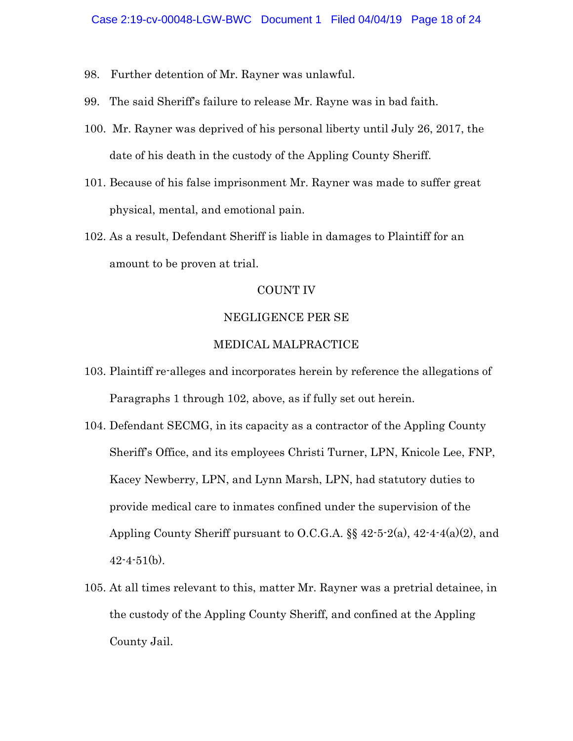- 98. Further detention of Mr. Rayner was unlawful.
- 99. The said Sheriff's failure to release Mr. Rayne was in bad faith.
- 100. Mr. Rayner was deprived of his personal liberty until July 26, 2017, the date of his death in the custody of the Appling County Sheriff.
- 101. Because of his false imprisonment Mr. Rayner was made to suffer great physical, mental, and emotional pain.
- 102. As a result, Defendant Sheriff is liable in damages to Plaintiff for an amount to be proven at trial.

## COUNT IV

#### NEGLIGENCE PER SE

## MEDICAL MALPRACTICE

- 103. Plaintiff re-alleges and incorporates herein by reference the allegations of Paragraphs 1 through 102, above, as if fully set out herein.
- 104. Defendant SECMG, in its capacity as a contractor of the Appling County Sheriff's Office, and its employees Christi Turner, LPN, Knicole Lee, FNP, Kacey Newberry, LPN, and Lynn Marsh, LPN, had statutory duties to provide medical care to inmates confined under the supervision of the Appling County Sheriff pursuant to O.C.G.A. §§ 42-5-2(a), 42-4-4(a)(2), and  $42 - 4 - 51(b)$ .
- 105. At all times relevant to this, matter Mr. Rayner was a pretrial detainee, in the custody of the Appling County Sheriff, and confined at the Appling County Jail.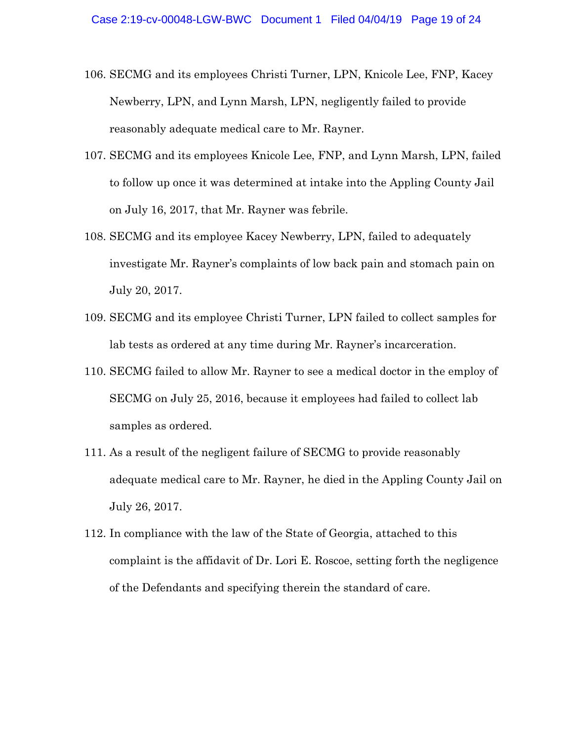- 106. SECMG and its employees Christi Turner, LPN, Knicole Lee, FNP, Kacey Newberry, LPN, and Lynn Marsh, LPN, negligently failed to provide reasonably adequate medical care to Mr. Rayner.
- 107. SECMG and its employees Knicole Lee, FNP, and Lynn Marsh, LPN, failed to follow up once it was determined at intake into the Appling County Jail on July 16, 2017, that Mr. Rayner was febrile.
- 108. SECMG and its employee Kacey Newberry, LPN, failed to adequately investigate Mr. Rayner's complaints of low back pain and stomach pain on July 20, 2017.
- 109. SECMG and its employee Christi Turner, LPN failed to collect samples for lab tests as ordered at any time during Mr. Rayner's incarceration.
- 110. SECMG failed to allow Mr. Rayner to see a medical doctor in the employ of SECMG on July 25, 2016, because it employees had failed to collect lab samples as ordered.
- 111. As a result of the negligent failure of SECMG to provide reasonably adequate medical care to Mr. Rayner, he died in the Appling County Jail on July 26, 2017.
- 112. In compliance with the law of the State of Georgia, attached to this complaint is the affidavit of Dr. Lori E. Roscoe, setting forth the negligence of the Defendants and specifying therein the standard of care.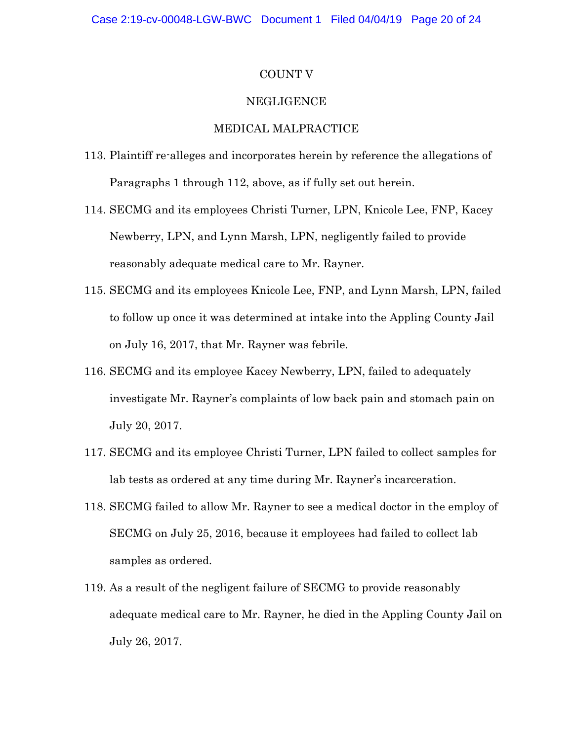### COUNT V

### NEGLIGENCE

## MEDICAL MALPRACTICE

- 113. Plaintiff re-alleges and incorporates herein by reference the allegations of Paragraphs 1 through 112, above, as if fully set out herein.
- 114. SECMG and its employees Christi Turner, LPN, Knicole Lee, FNP, Kacey Newberry, LPN, and Lynn Marsh, LPN, negligently failed to provide reasonably adequate medical care to Mr. Rayner.
- 115. SECMG and its employees Knicole Lee, FNP, and Lynn Marsh, LPN, failed to follow up once it was determined at intake into the Appling County Jail on July 16, 2017, that Mr. Rayner was febrile.
- 116. SECMG and its employee Kacey Newberry, LPN, failed to adequately investigate Mr. Rayner's complaints of low back pain and stomach pain on July 20, 2017.
- 117. SECMG and its employee Christi Turner, LPN failed to collect samples for lab tests as ordered at any time during Mr. Rayner's incarceration.
- 118. SECMG failed to allow Mr. Rayner to see a medical doctor in the employ of SECMG on July 25, 2016, because it employees had failed to collect lab samples as ordered.
- 119. As a result of the negligent failure of SECMG to provide reasonably adequate medical care to Mr. Rayner, he died in the Appling County Jail on July 26, 2017.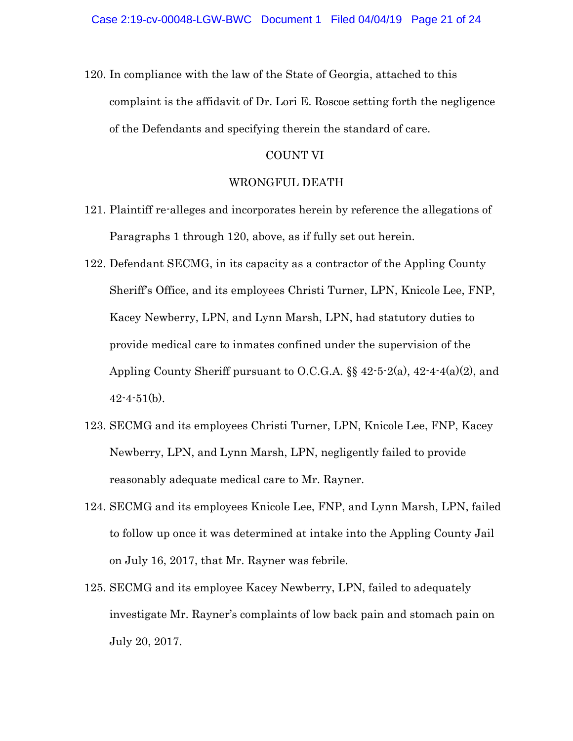120. In compliance with the law of the State of Georgia, attached to this complaint is the affidavit of Dr. Lori E. Roscoe setting forth the negligence of the Defendants and specifying therein the standard of care.

### COUNT VI

#### WRONGFUL DEATH

- 121. Plaintiff re-alleges and incorporates herein by reference the allegations of Paragraphs 1 through 120, above, as if fully set out herein.
- 122. Defendant SECMG, in its capacity as a contractor of the Appling County Sheriff's Office, and its employees Christi Turner, LPN, Knicole Lee, FNP, Kacey Newberry, LPN, and Lynn Marsh, LPN, had statutory duties to provide medical care to inmates confined under the supervision of the Appling County Sheriff pursuant to O.C.G.A. §§ 42-5-2(a), 42-4-4(a)(2), and  $42 - 4 - 51(b)$ .
- 123. SECMG and its employees Christi Turner, LPN, Knicole Lee, FNP, Kacey Newberry, LPN, and Lynn Marsh, LPN, negligently failed to provide reasonably adequate medical care to Mr. Rayner.
- 124. SECMG and its employees Knicole Lee, FNP, and Lynn Marsh, LPN, failed to follow up once it was determined at intake into the Appling County Jail on July 16, 2017, that Mr. Rayner was febrile.
- 125. SECMG and its employee Kacey Newberry, LPN, failed to adequately investigate Mr. Rayner's complaints of low back pain and stomach pain on July 20, 2017.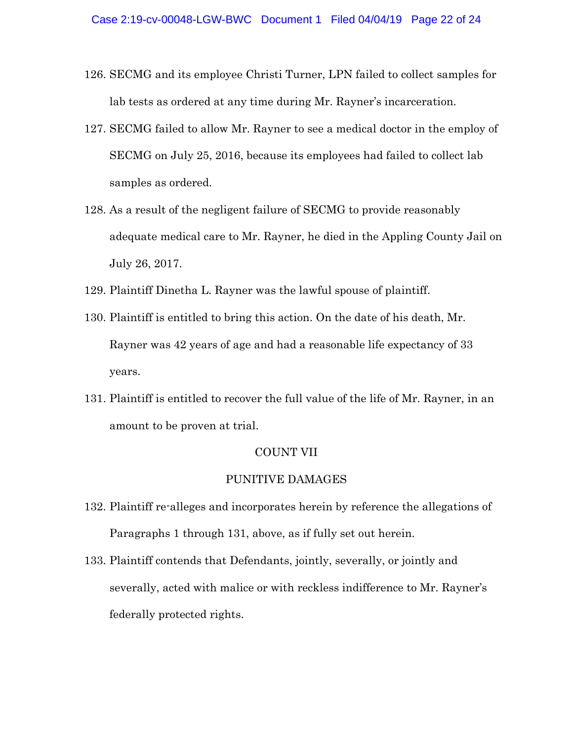- 126. SECMG and its employee Christi Turner, LPN failed to collect samples for lab tests as ordered at any time during Mr. Rayner's incarceration.
- 127. SECMG failed to allow Mr. Rayner to see a medical doctor in the employ of SECMG on July 25, 2016, because its employees had failed to collect lab samples as ordered.
- 128. As a result of the negligent failure of SECMG to provide reasonably adequate medical care to Mr. Rayner, he died in the Appling County Jail on July 26, 2017.
- 129. Plaintiff Dinetha L. Rayner was the lawful spouse of plaintiff.
- 130. Plaintiff is entitled to bring this action. On the date of his death, Mr. Rayner was 42 years of age and had a reasonable life expectancy of 33 years.
- 131. Plaintiff is entitled to recover the full value of the life of Mr. Rayner, in an amount to be proven at trial.

#### COUNT VII

### PUNITIVE DAMAGES

- 132. Plaintiff re-alleges and incorporates herein by reference the allegations of Paragraphs 1 through 131, above, as if fully set out herein.
- 133. Plaintiff contends that Defendants, jointly, severally, or jointly and severally, acted with malice or with reckless indifference to Mr. Rayner's federally protected rights.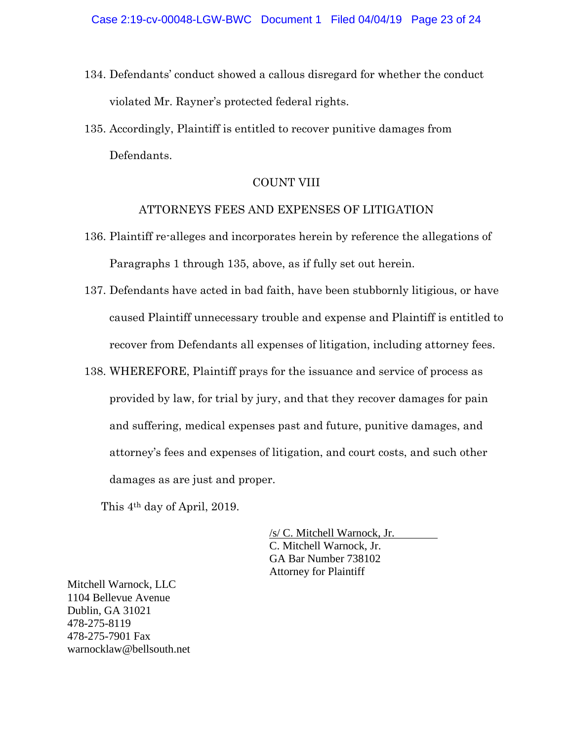- 134. Defendants' conduct showed a callous disregard for whether the conduct violated Mr. Rayner's protected federal rights.
- 135. Accordingly, Plaintiff is entitled to recover punitive damages from Defendants.

## COUNT VIII

## ATTORNEYS FEES AND EXPENSES OF LITIGATION

- 136. Plaintiff re-alleges and incorporates herein by reference the allegations of Paragraphs 1 through 135, above, as if fully set out herein.
- 137. Defendants have acted in bad faith, have been stubbornly litigious, or have caused Plaintiff unnecessary trouble and expense and Plaintiff is entitled to recover from Defendants all expenses of litigation, including attorney fees.
- 138. WHEREFORE, Plaintiff prays for the issuance and service of process as provided by law, for trial by jury, and that they recover damages for pain and suffering, medical expenses past and future, punitive damages, and attorney's fees and expenses of litigation, and court costs, and such other damages as are just and proper.

This 4th day of April, 2019.

/s/ C. Mitchell Warnock, Jr. C. Mitchell Warnock, Jr. GA Bar Number 738102 Attorney for Plaintiff

Mitchell Warnock, LLC 1104 Bellevue Avenue Dublin, GA 31021 478-275-8119 478-275-7901 Fax warnocklaw@bellsouth.net